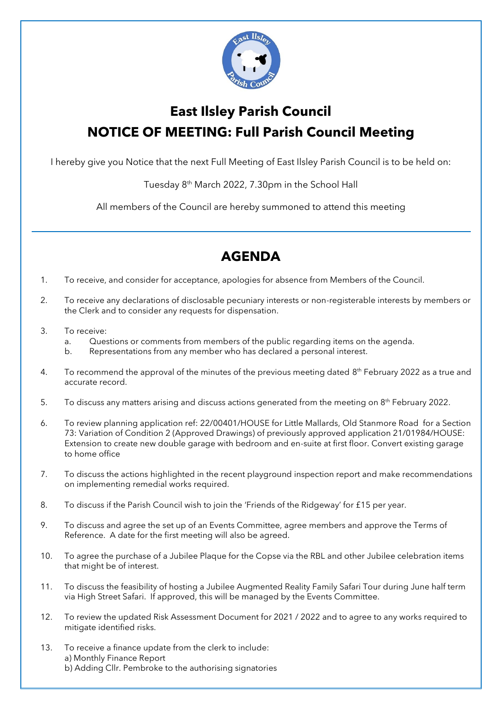

## **East Ilsley Parish Council NOTICE OF MEETING: Full Parish Council Meeting**

I hereby give you Notice that the next Full Meeting of East Ilsley Parish Council is to be held on:

Tuesday 8th March 2022, 7.30pm in the School Hall

All members of the Council are hereby summoned to attend this meeting

## **AGENDA**

- 1. To receive, and consider for acceptance, apologies for absence from Members of the Council.
- 2. To receive any declarations of disclosable pecuniary interests or non-registerable interests by members or the Clerk and to consider any requests for dispensation.
- 3. To receive:
	- a. Questions or comments from members of the public regarding items on the agenda.
	- b. Representations from any member who has declared a personal interest.
- 4. To recommend the approval of the minutes of the previous meeting dated  $8<sup>th</sup>$  February 2022 as a true and accurate record.
- 5. To discuss any matters arising and discuss actions generated from the meeting on 8<sup>th</sup> February 2022.
- 6. To review planning application ref: 22/00401/HOUSE for Little Mallards, Old Stanmore Road for a Section 73: Variation of Condition 2 (Approved Drawings) of previously approved application 21/01984/HOUSE: Extension to create new double garage with bedroom and en-suite at first floor. Convert existing garage to home office
- 7. To discuss the actions highlighted in the recent playground inspection report and make recommendations on implementing remedial works required.
- 8. To discuss if the Parish Council wish to join the 'Friends of the Ridgeway' for £15 per year.
- 9. To discuss and agree the set up of an Events Committee, agree members and approve the Terms of Reference. A date for the first meeting will also be agreed.
- 10. To agree the purchase of a Jubilee Plaque for the Copse via the RBL and other Jubilee celebration items that might be of interest.
- 11. To discuss the feasibility of hosting a Jubilee Augmented Reality Family Safari Tour during June half term via High Street Safari. If approved, this will be managed by the Events Committee.
- 12. To review the updated Risk Assessment Document for 2021 / 2022 and to agree to any works required to mitigate identified risks.
- 13. To receive a finance update from the clerk to include: a) Monthly Finance Report b) Adding Cllr. Pembroke to the authorising signatories